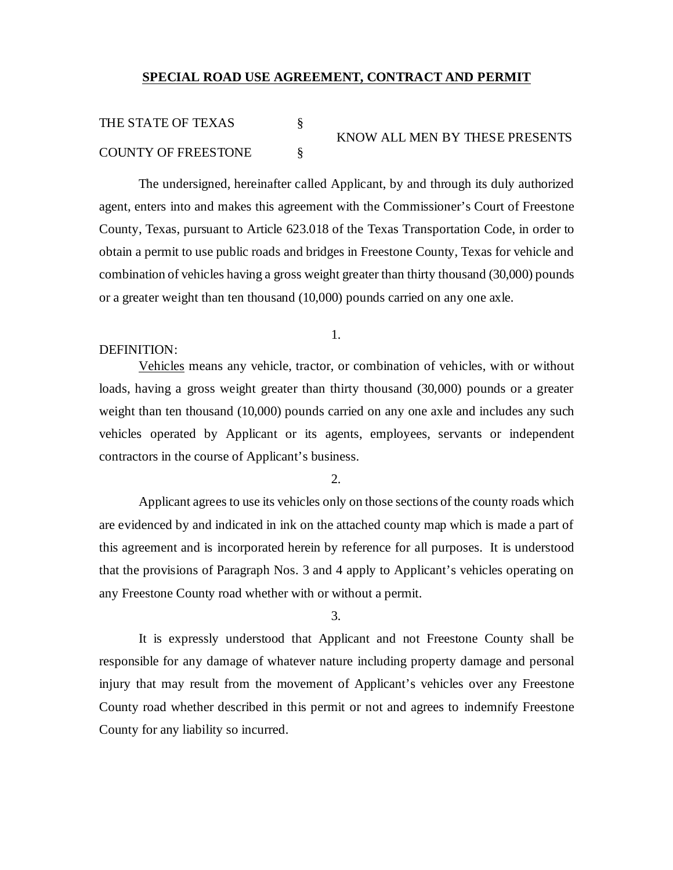## **SPECIAL ROAD USE AGREEMENT, CONTRACT AND PERMIT**

## THE STATE OF TEXAS § KNOW ALL MEN BY THESE PRESENTS COUNTY OF FREESTONE §

The undersigned, hereinafter called Applicant, by and through its duly authorized agent, enters into and makes this agreement with the Commissioner's Court of Freestone County, Texas, pursuant to Article 623.018 of the Texas Transportation Code, in order to obtain a permit to use public roads and bridges in Freestone County, Texas for vehicle and combination of vehicles having a gross weight greater than thirty thousand (30,000) pounds or a greater weight than ten thousand (10,000) pounds carried on any one axle.

## DEFINITION:

Vehicles means any vehicle, tractor, or combination of vehicles, with or without loads, having a gross weight greater than thirty thousand (30,000) pounds or a greater weight than ten thousand (10,000) pounds carried on any one axle and includes any such vehicles operated by Applicant or its agents, employees, servants or independent contractors in the course of Applicant's business.

2.

Applicant agrees to use its vehicles only on those sections of the county roads which are evidenced by and indicated in ink on the attached county map which is made a part of this agreement and is incorporated herein by reference for all purposes. It is understood that the provisions of Paragraph Nos. 3 and 4 apply to Applicant's vehicles operating on any Freestone County road whether with or without a permit.

3.

It is expressly understood that Applicant and not Freestone County shall be responsible for any damage of whatever nature including property damage and personal injury that may result from the movement of Applicant's vehicles over any Freestone County road whether described in this permit or not and agrees to indemnify Freestone County for any liability so incurred.

## 1.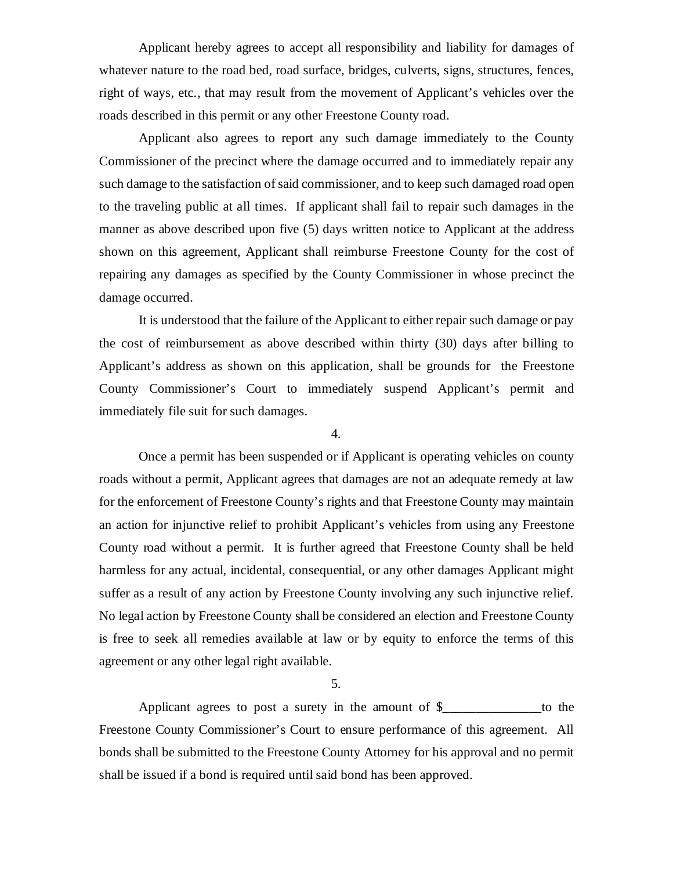Applicant hereby agrees to accept all responsibility and liability for damages of whatever nature to the road bed, road surface, bridges, culverts, signs, structures, fences, right of ways, etc., that may result from the movement of Applicant's vehicles over the roads described in this permit or any other Freestone County road.

Applicant also agrees to report any such damage immediately to the County Commissioner of the precinct where the damage occurred and to immediately repair any such damage to the satisfaction of said commissioner, and to keep such damaged road open to the traveling public at all times. If applicant shall fail to repair such damages in the manner as above described upon five (5) days written notice to Applicant at the address shown on this agreement, Applicant shall reimburse Freestone County for the cost of repairing any damages as specified by the County Commissioner in whose precinct the damage occurred.

It is understood that the failure of the Applicant to either repair such damage or pay the cost of reimbursement as above described within thirty (30) days after billing to Applicant's address as shown on this application, shall be grounds for the Freestone County Commissioner's Court to immediately suspend Applicant's permit and immediately file suit for such damages.

4.

Once a permit has been suspended or if Applicant is operating vehicles on county roads without a permit, Applicant agrees that damages are not an adequate remedy at law for the enforcement of Freestone County's rights and that Freestone County may maintain an action for injunctive relief to prohibit Applicant's vehicles from using any Freestone County road without a permit. It is further agreed that Freestone County shall be held harmless for any actual, incidental, consequential, or any other damages Applicant might suffer as a result of any action by Freestone County involving any such injunctive relief. No legal action by Freestone County shall be considered an election and Freestone County is free to seek all remedies available at law or by equity to enforce the terms of this agreement or any other legal right available.

5.

Applicant agrees to post a surety in the amount of  $\frac{1}{2}$  to the Freestone County Commissioner's Court to ensure performance of this agreement. All bonds shall be submitted to the Freestone County Attorney for his approval and no permit shall be issued if a bond is required until said bond has been approved.